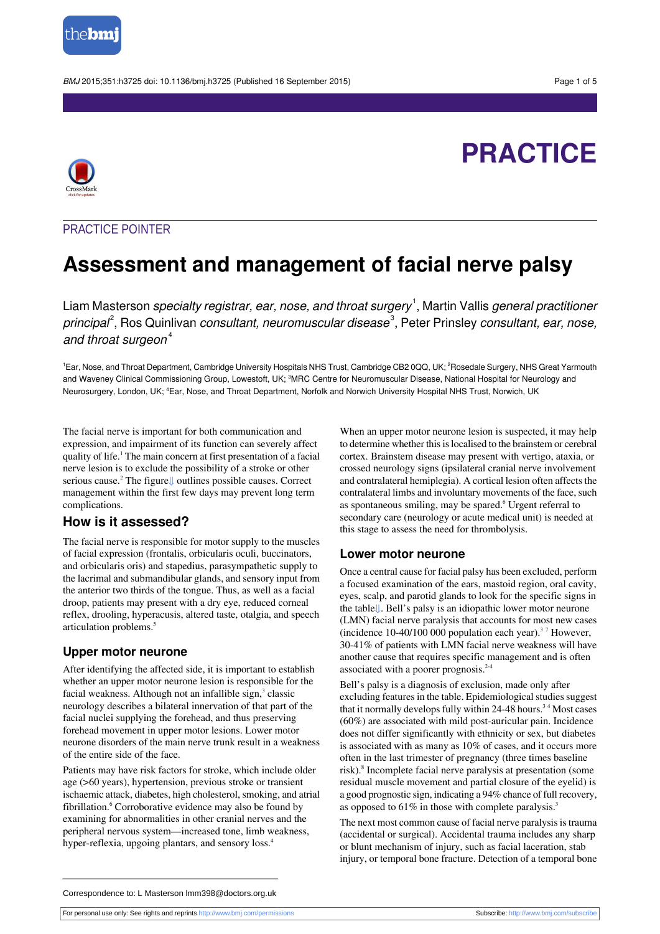

BMJ 2015;351:h3725 doi: 10.1136/bmj.h3725 (Published 16 September 2015) Page 1 of 5

**PRACTICE**



## PRACTICE POINTER

# **Assessment and management of facial nerve palsy**

Liam Masterson *specialty registrar, ear, nose, and throat surgery*  $^1$ , Martin Vallis *general practitioner principal<sup>2</sup>,* Ros Quinlivan *consultant, neuromuscular disease*<sup>3</sup>, Peter Prinsley *consultant, ear, nose,* and throat surgeon $4$ 

<sup>1</sup>Ear, Nose, and Throat Department, Cambridge University Hospitals NHS Trust, Cambridge CB2 0QQ, UK; <sup>2</sup>Rosedale Surgery, NHS Great Yarmouth and Waveney Clinical Commissioning Group, Lowestoft, UK; 3MRC Centre for Neuromuscular Disease, National Hospital for Neurology and Neurosurgery, London, UK; <sup>4</sup>Ear, Nose, and Throat Department, Norfolk and Norwich University Hospital NHS Trust, Norwich, UK

The facial nerve is important for both communication and expression, and impairment of its function can severely affect quality of life.<sup>1</sup> The main concern at first presentation of a facial nerve lesion is to exclude the possibility of a stroke or other serious cause.<sup>2</sup> The figure↓ outlines possible causes. Correct management within the first few days may prevent long term complications.

### **How is it assessed?**

The facial nerve is responsible for motor supply to the muscles of facial expression (frontalis, orbicularis oculi, buccinators, and orbicularis oris) and stapedius, parasympathetic supply to the lacrimal and submandibular glands, and sensory input from the anterior two thirds of the tongue. Thus, as well as a facial droop, patients may present with a dry eye, reduced corneal reflex, drooling, hyperacusis, altered taste, otalgia, and speech articulation problems.<sup>5</sup>

### **Upper motor neurone**

After identifying the affected side, it is important to establish whether an upper motor neurone lesion is responsible for the facial weakness. Although not an infallible sign,<sup>3</sup> classic neurology describes a bilateral innervation of that part of the facial nuclei supplying the forehead, and thus preserving forehead movement in upper motor lesions. Lower motor neurone disorders of the main nerve trunk result in a weakness of the entire side of the face.

Patients may have risk factors for stroke, which include older age (>60 years), hypertension, previous stroke or transient ischaemic attack, diabetes, high cholesterol, smoking, and atrial fibrillation.<sup>6</sup> Corroborative evidence may also be found by examining for abnormalities in other cranial nerves and the peripheral nervous system—increased tone, limb weakness, hyper-reflexia, upgoing plantars, and sensory loss.<sup>4</sup>

When an upper motor neurone lesion is suspected, it may help to determine whether this is localised to the brainstem or cerebral cortex. Brainstem disease may present with vertigo, ataxia, or crossed neurology signs (ipsilateral cranial nerve involvement and contralateral hemiplegia). A cortical lesion often affects the contralateral limbs and involuntary movements of the face, such as spontaneous smiling, may be spared.<sup>6</sup> Urgent referral to secondary care (neurology or acute medical unit) is needed at this stage to assess the need for thrombolysis.

### **Lower motor neurone**

Once a central cause for facial palsy has been excluded, perform a focused examination of the ears, mastoid region, oral cavity, eyes, scalp, and parotid glands to look for the specific signs in the tabl[e⇓.](#page-3-0) Bell's palsy is an idiopathic lower motor neurone (LMN) facial nerve paralysis that accounts for most new cases (incidence 10-40/100 000 population each year).<sup>3</sup> <sup>7</sup> However, 30-41% of patients with LMN facial nerve weakness will have another cause that requires specific management and is often associated with a poorer prognosis. $2-4$ 

Bell's palsy is a diagnosis of exclusion, made only after excluding features in the table. Epidemiological studies suggest that it normally develops fully within 24-48 hours.<sup>34</sup> Most cases (60%) are associated with mild post-auricular pain. Incidence does not differ significantly with ethnicity or sex, but diabetes is associated with as many as 10% of cases, and it occurs more often in the last trimester of pregnancy (three times baseline risk).<sup>8</sup> Incomplete facial nerve paralysis at presentation (some residual muscle movement and partial closure of the eyelid) is a good prognostic sign, indicating a 94% chance of full recovery, as opposed to 61% in those with complete paralysis.<sup>3</sup>

The next most common cause of facial nerve paralysis is trauma (accidental or surgical). Accidental trauma includes any sharp or blunt mechanism of injury, such as facial laceration, stab injury, or temporal bone fracture. Detection of a temporal bone

Correspondence to: L Masterson lmm398@doctors.org.uk

For personal use only: See rights and reprints<http://www.bmj.com/permissions> Subscribe: <http://www.bmj.com/subscribe>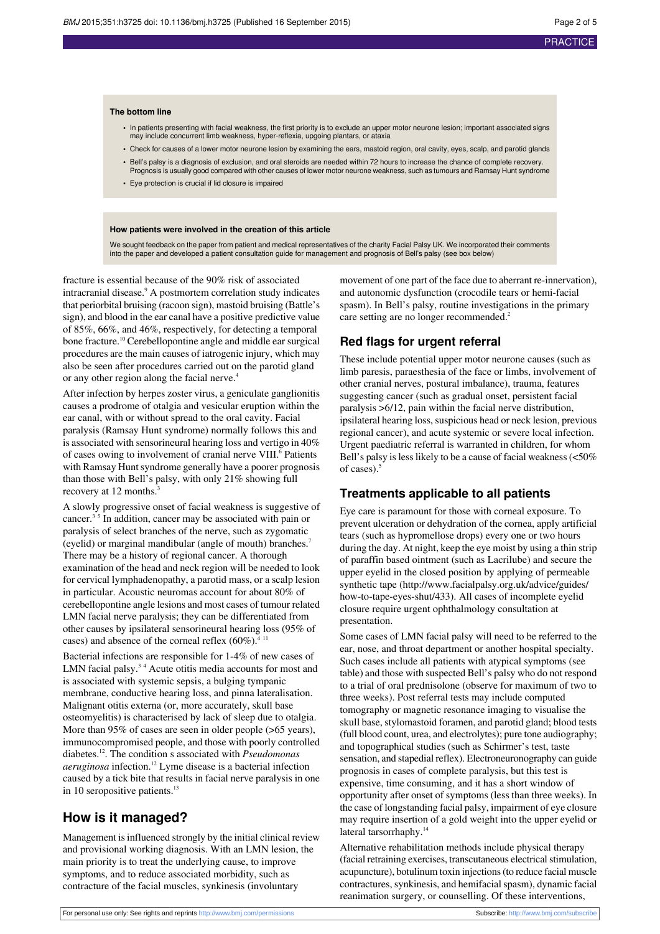#### **The bottom line**

- **•** In patients presenting with facial weakness, the first priority is to exclude an upper motor neurone lesion; important associated signs may include concurrent limb weakness, hyper-reflexia, upgoing plantars, or ataxia
- **•** Check for causes of a lower motor neurone lesion by examining the ears, mastoid region, oral cavity, eyes, scalp, and parotid glands **•** Bell's palsy is a diagnosis of exclusion, and oral steroids are needed within 72 hours to increase the chance of complete recovery.
- Prognosis is usually good compared with other causes of lower motor neurone weakness, such as tumours and Ramsay Hunt syndrome **•** Eye protection is crucial if lid closure is impaired

#### **How patients were involved in the creation of this article**

We sought feedback on the paper from patient and medical representatives of the charity Facial Palsy UK. We incorporated their comments into the paper and developed a patient consultation guide for management and prognosis of Bell's palsy (see box below)

fracture is essential because of the 90% risk of associated intracranial disease.<sup>9</sup> A postmortem correlation study indicates that periorbital bruising (racoon sign), mastoid bruising (Battle's sign), and blood in the ear canal have a positive predictive value of 85%, 66%, and 46%, respectively, for detecting a temporal bone fracture.<sup>10</sup> Cerebellopontine angle and middle ear surgical procedures are the main causes of iatrogenic injury, which may also be seen after procedures carried out on the parotid gland or any other region along the facial nerve.<sup>4</sup>

After infection by herpes zoster virus, a geniculate ganglionitis causes a prodrome of otalgia and vesicular eruption within the ear canal, with or without spread to the oral cavity. Facial paralysis (Ramsay Hunt syndrome) normally follows this and is associated with sensorineural hearing loss and vertigo in 40% of cases owing to involvement of cranial nerve VIII.<sup>6</sup> Patients with Ramsay Hunt syndrome generally have a poorer prognosis than those with Bell's palsy, with only 21% showing full recovery at 12 months.<sup>3</sup>

A slowly progressive onset of facial weakness is suggestive of cancer.<sup>35</sup> In addition, cancer may be associated with pain or paralysis of select branches of the nerve, such as zygomatic (eyelid) or marginal mandibular (angle of mouth) branches.<sup>7</sup> There may be a history of regional cancer. A thorough examination of the head and neck region will be needed to look for cervical lymphadenopathy, a parotid mass, or a scalp lesion in particular. Acoustic neuromas account for about 80% of cerebellopontine angle lesions and most cases of tumour related LMN facial nerve paralysis; they can be differentiated from other causes by ipsilateral sensorineural hearing loss (95% of cases) and absence of the corneal reflex  $(60\%)^{4/11}$ .

Bacterial infections are responsible for 1-4% of new cases of LMN facial palsy.<sup>34</sup> Acute otitis media accounts for most and is associated with systemic sepsis, a bulging tympanic membrane, conductive hearing loss, and pinna lateralisation. Malignant otitis externa (or, more accurately, skull base osteomyelitis) is characterised by lack of sleep due to otalgia. More than 95% of cases are seen in older people ( $>65$  years), immunocompromised people, and those with poorly controlled diabetes.<sup>12</sup> . The condition s associated with *Pseudomonas aeruginosa* infection.<sup>12</sup> Lyme disease is a bacterial infection caused by a tick bite that results in facial nerve paralysis in one in 10 seropositive patients.<sup>13</sup>

### **How is it managed?**

Management is influenced strongly by the initial clinical review and provisional working diagnosis. With an LMN lesion, the main priority is to treat the underlying cause, to improve symptoms, and to reduce associated morbidity, such as contracture of the facial muscles, synkinesis (involuntary

movement of one part of the face due to aberrant re-innervation), and autonomic dysfunction (crocodile tears or hemi-facial spasm). In Bell's palsy, routine investigations in the primary care setting are no longer recommended.<sup>2</sup>

### **Red flags for urgent referral**

These include potential upper motor neurone causes (such as limb paresis, paraesthesia of the face or limbs, involvement of other cranial nerves, postural imbalance), trauma, features suggesting cancer (such as gradual onset, persistent facial paralysis >6/12, pain within the facial nerve distribution, ipsilateral hearing loss, suspicious head or neck lesion, previous regional cancer), and acute systemic or severe local infection. Urgent paediatric referral is warranted in children, for whom Bell's palsy is less likely to be a cause of facial weakness (<50%) of cases).<sup>5</sup>

#### **Treatments applicable to all patients**

Eye care is paramount for those with corneal exposure. To prevent ulceration or dehydration of the cornea, apply artificial tears (such as hypromellose drops) every one or two hours during the day. At night, keep the eye moist by using a thin strip of paraffin based ointment (such as Lacrilube) and secure the upper eyelid in the closed position by applying of permeable synthetic tape ([http://www.facialpalsy.org.uk/advice/guides/](http://www.facialpalsy.org.uk/advice/guides/how-to-tape-eyes-shut/433) [how-to-tape-eyes-shut/433](http://www.facialpalsy.org.uk/advice/guides/how-to-tape-eyes-shut/433)). All cases of incomplete eyelid closure require urgent ophthalmology consultation at presentation.

Some cases of LMN facial palsy will need to be referred to the ear, nose, and throat department or another hospital specialty. Such cases include all patients with atypical symptoms (see table) and those with suspected Bell's palsy who do not respond to a trial of oral prednisolone (observe for maximum of two to three weeks). Post referral tests may include computed tomography or magnetic resonance imaging to visualise the skull base, stylomastoid foramen, and parotid gland; blood tests (full blood count, urea, and electrolytes); pure tone audiography; and topographical studies (such as Schirmer's test, taste sensation, and stapedial reflex). Electroneuronography can guide prognosis in cases of complete paralysis, but this test is expensive, time consuming, and it has a short window of opportunity after onset of symptoms (less than three weeks). In the case of longstanding facial palsy, impairment of eye closure may require insertion of a gold weight into the upper eyelid or lateral tarsorrhaphy.<sup>14</sup>

Alternative rehabilitation methods include physical therapy (facial retraining exercises, transcutaneous electrical stimulation, acupuncture), botulinum toxin injections(to reduce facial muscle contractures, synkinesis, and hemifacial spasm), dynamic facial reanimation surgery, or counselling. Of these interventions,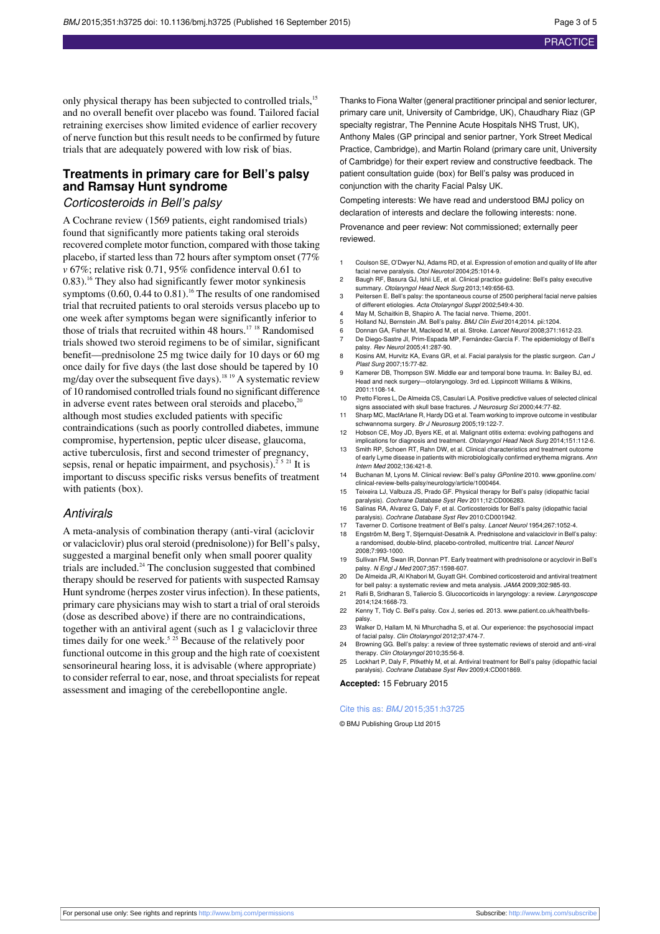only physical therapy has been subjected to controlled trials,<sup>15</sup> and no overall benefit over placebo was found. Tailored facial retraining exercises show limited evidence of earlier recovery of nerve function but this result needs to be confirmed by future trials that are adequately powered with low risk of bias.

### **Treatments in primary care for Bell's palsy and Ramsay Hunt syndrome**

### Corticosteroids in Bell's palsy

A Cochrane review (1569 patients, eight randomised trials) found that significantly more patients taking oral steroids recovered complete motor function, compared with those taking placebo, if started less than 72 hours after symptom onset (77% *v* 67%; relative risk 0.71, 95% confidence interval 0.61 to 0.83).<sup>16</sup> They also had significantly fewer motor synkinesis symptoms  $(0.60, 0.44 \text{ to } 0.81)$ .<sup>16</sup> The results of one randomised trial that recruited patients to oral steroids versus placebo up to one week after symptoms began were significantly inferior to those of trials that recruited within 48 hours.<sup>17 18</sup> Randomised trials showed two steroid regimens to be of similar, significant benefit—prednisolone 25 mg twice daily for 10 days or 60 mg once daily for five days (the last dose should be tapered by 10 mg/day over the subsequent five days).<sup>18 19</sup> A systematic review of 10 randomised controlled trialsfound no significant difference in adverse event rates between oral steroids and placebo, $20$ although most studies excluded patients with specific contraindications (such as poorly controlled diabetes, immune compromise, hypertension, peptic ulcer disease, glaucoma, active tuberculosis, first and second trimester of pregnancy, sepsis, renal or hepatic impairment, and psychosis).<sup>2 5 21</sup> It is important to discuss specific risks versus benefits of treatment with patients (box).

#### **Antivirals**

A meta-analysis of combination therapy (anti-viral (aciclovir or valaciclovir) plus oral steroid (prednisolone)) for Bell's palsy, suggested a marginal benefit only when small poorer quality trials are included. $24$  The conclusion suggested that combined therapy should be reserved for patients with suspected Ramsay Hunt syndrome (herpes zoster virus infection). In these patients, primary care physicians may wish to start a trial of oral steroids (dose as described above) if there are no contraindications, together with an antiviral agent (such as 1 g valaciclovir three times daily for one week.<sup>5 25</sup> Because of the relatively poor functional outcome in this group and the high rate of coexistent sensorineural hearing loss, it is advisable (where appropriate) to consider referral to ear, nose, and throat specialists for repeat assessment and imaging of the cerebellopontine angle.

Thanks to Fiona Walter (general practitioner principal and senior lecturer, primary care unit, University of Cambridge, UK), Chaudhary Riaz (GP specialty registrar, The Pennine Acute Hospitals NHS Trust, UK), Anthony Males (GP principal and senior partner, York Street Medical Practice, Cambridge), and Martin Roland (primary care unit, University of Cambridge) for their expert review and constructive feedback. The patient consultation guide (box) for Bell's palsy was produced in conjunction with the charity Facial Palsy UK.

Competing interests: We have read and understood BMJ policy on declaration of interests and declare the following interests: none.

Provenance and peer review: Not commissioned; externally peer reviewed.

- 1 Coulson SE, O'Dwyer NJ, Adams RD, et al. Expression of emotion and quality of life after facial nerve paralysis. Otol Neurotol 2004;25:1014-9.
- 2 Baugh RF, Basura GJ, Ishii LE, et al. Clinical practice guideline: Bell's palsy executive summary. Otolaryngol Head Neck Surg 2013;149:656-63.
- 3 Peitersen E. Bell's palsy: the spontaneous course of 2500 peripheral facial nerve palsies of different etiologies. Acta Otolaryngol Suppl 2002;549:4-30.
- 4 May M, Schaitkin B, Shapiro A. The facial nerve. Thieme, 2001.
- 5 Holland NJ, Bernstein JM. Bell's palsy. BMJ Clin Evid 2014;2014. pii:1204.<br>6 Donnan GA, Fisher M, Macleod M, et al. Stroke. Lancet Neurol 2008:371:1
- Donnan GA, Fisher M, Macleod M, et al. Stroke. Lancet Neurol 2008;371:1612-23. 7 De Diego-Sastre JI, Prim-Espada MP, Fernández-García F. The epidemiology of Bell's palsy. Rev Neurol 2005;41:287-90.
- 8 Kosins AM, Hurvitz KA, Evans GR, et al. Facial paralysis for the plastic surgeon. Can J Plast Surg 2007;15:77-82.
- 9 Kamerer DB, Thompson SW. Middle ear and temporal bone trauma. In: Bailey BJ, ed. Head and neck surgery—otolaryngology. 3rd ed. Lippincott Williams & Wilkins, 2001:1108-14.
- 10 Pretto Flores L, De Almeida CS, Casulari LA. Positive predictive values of selected clinical signs associated with skull base fractures. J Neurosurg Sci 2000;44:77-82.
- 11 Sharp MC, MacfArlane R, Hardy DG et al. Team working to improve outcome in vestibula schwannoma surgery. Br J Neurosurg 2005;19:122-7.
- Hobson CE, Moy JD, Byers KE, et al. Malignant otitis externa: evolving pathogens and implications for diagnosis and treatment. Otolaryngol Head Neck Surg 2014;151:112-6.
- 13 Smith RP, Schoen RT, Rahn DW, et al. Clinical characteristics and treatment outcome of early Lyme disease in patients with microbiologically confirmed erythema migrans. Ann Intern Med 2002;136:421-8.
- 14 Buchanan M, Lyons M. Clinical review: Bell's palsy GPonline 2010. [www.gponline.com/](http://www.gponline.com/clinical-review-bells-palsy/neurology/article/1000464) [clinical-review-bells-palsy/neurology/article/1000464](http://www.gponline.com/clinical-review-bells-palsy/neurology/article/1000464).
- 15 Teixeira LJ, Valbuza JS, Prado GF. Physical therapy for Bell's palsy (idiopathic facial aralysis). Cochrane Database Syst Rev 2011;12:CD006283.
- 16 Salinas RA, Alvarez G, Daly F, et al. Corticosteroids for Bell's palsy (idiopathic facial paralysis). Cochrane Database Syst Rev 2010:CD001942.
- 17 Taverner D. Cortisone treatment of Bell's palsy. Lancet Neurol 1954;267:1052-4. 18 Engström M, Berg T, Stjernquist-Desatnik A. Prednisolone and valaciclovir in Bell's palsy:
- a randomised, double-blind, placebo-controlled, multicentre trial. Lancet Neurol 2008;7:993-1000.
- 19 Sullivan FM, Swan IR, Donnan PT. Early treatment with prednisolone or acyclovir in Bell's palsy. N Engl J Med 2007;357:1598-607.
- 20 De Almeida JR, Al Khabori M, Guyatt GH. Combined corticosteroid and antiviral treatment for bell palsy: a systematic review and meta analysis. JAMA 2009;302:985-93.
- 21 Rafii B, Sridharan S, Taliercio S. Glucocorticoids in laryngology: a review. Laryngoscope 2014;124:1668-73.
- 22 Kenny T, Tidy C. Bell's palsy. Cox J, series ed. 2013. [www.patient.co.uk/health/bells](http://www.patient.co.uk/health/bells-palsy)[palsy.](http://www.patient.co.uk/health/bells-palsy)
- 23 Walker D, Hallam M, Ni Mhurchadha S, et al. Our experience: the psychosocial impact of facial palsy. Clin Otolaryngol 2012;37:474-7.
- 24 Browning GG. Bell's palsy: a review of three systematic reviews of steroid and anti-viral therapy. Clin Otolaryngol 2010;35:56-8.
- 25 Lockhart P, Daly F, Pitkethly M, et al. Antiviral treatment for Bell's palsy (idiopathic facial paralysis). Cochrane Database Syst Rev 2009;4:CD001869.

**Accepted:** 15 February 2015

#### Cite this as: BMJ 2015;351:h3725

© BMJ Publishing Group Ltd 2015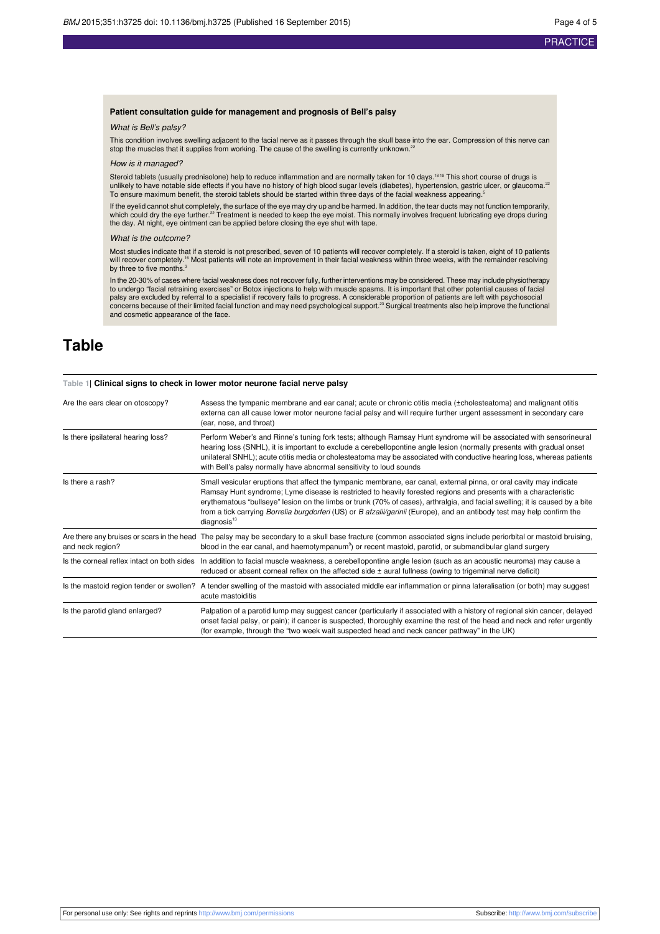#### **Patient consultation guide for management and prognosis of Bell's palsy**

#### What is Bell's palsy?

This condition involves swelling adjacent to the facial nerve as it passes through the skull base into the ear. Compression of this nerve can stop the muscles that it supplies from working. The cause of the swelling is currently unknown.<sup>22</sup>

#### How is it managed?

Steroid tablets (usually prednisolone) help to reduce inflammation and are normally taken for 10 days.<sup>1819</sup> This short course of drugs is unlikely to have notable side effects if you have no history of high blood sugar levels (diabetes), hypertension, gastric ulcer, or glaucoma.<sup>22</sup> To ensure maximum benefit, the steroid tablets should be started within three days of the facial weakness appearing.<sup>5</sup>

If the eyelid cannot shut completely, the surface of the eye may dry up and be harmed. In addition, the tear ducts may not function temporarily,<br>which could dry the eye further.<sup>22</sup> Treatment is needed to keep the eye mois the day. At night, eye ointment can be applied before closing the eye shut with tape.

#### What is the outcome?

Most studies indicate that if a steroid is not prescribed, seven of 10 patients will recover completely. If a steroid is taken, eight of 10 patients<br>will recover completely.'<sup>s</sup> Most patients will note an improvement in th

In the 20-30% of cases where facial weakness does not recover fully, further interventions may be considered. These may include physiotherapy to undergo "facial retraining exercises" or Botox injections to help with muscle spasms. It is important that other potential causes of facial palsy are excluded by referral to a specialist if recovery fails to progress. A considerable proportion of patients are left with psychosocial<br>concerns because of their limited facial function and may need psychological su and cosmetic appearance of the face.

# <span id="page-3-0"></span>**Table**

| Table 1  Clinical signs to check in lower motor neurone facial nerve palsy |                                                                                                                                                                                                                                                                                                                                                                                                                                                                                                                              |
|----------------------------------------------------------------------------|------------------------------------------------------------------------------------------------------------------------------------------------------------------------------------------------------------------------------------------------------------------------------------------------------------------------------------------------------------------------------------------------------------------------------------------------------------------------------------------------------------------------------|
| Are the ears clear on otoscopy?                                            | Assess the tympanic membrane and ear canal; acute or chronic otitis media (±cholesteatoma) and malignant otitis<br>externa can all cause lower motor neurone facial palsy and will require further urgent assessment in secondary care<br>(ear, nose, and throat)                                                                                                                                                                                                                                                            |
| Is there ipsilateral hearing loss?                                         | Perform Weber's and Rinne's tuning fork tests; although Ramsay Hunt syndrome will be associated with sensorineural<br>hearing loss (SNHL), it is important to exclude a cerebellopontine angle lesion (normally presents with gradual onset<br>unilateral SNHL); acute otitis media or cholesteatoma may be associated with conductive hearing loss, whereas patients<br>with Bell's palsy normally have abnormal sensitivity to loud sounds                                                                                 |
| Is there a rash?                                                           | Small vesicular eruptions that affect the tympanic membrane, ear canal, external pinna, or oral cavity may indicate<br>Ramsay Hunt syndrome; Lyme disease is restricted to heavily forested regions and presents with a characteristic<br>erythematous "bullseye" lesion on the limbs or trunk (70% of cases), arthralgia, and facial swelling; it is caused by a bite<br>from a tick carrying Borrelia burgdorferi (US) or B afzalii/garinii (Europe), and an antibody test may help confirm the<br>diagnosis <sup>13</sup> |
| Are there any bruises or scars in the head<br>and neck region?             | The palsy may be secondary to a skull base fracture (common associated signs include periorbital or mastoid bruising,<br>blood in the ear canal, and haemotympanum <sup>9</sup> ) or recent mastoid, parotid, or submandibular gland surgery                                                                                                                                                                                                                                                                                 |
| Is the corneal reflex intact on both sides                                 | In addition to facial muscle weakness, a cerebellopontine angle lesion (such as an acoustic neuroma) may cause a<br>reduced or absent corneal reflex on the affected side $\pm$ aural fullness (owing to trigeminal nerve deficit)                                                                                                                                                                                                                                                                                           |
| Is the mastoid region tender or swollen?                                   | A tender swelling of the mastoid with associated middle ear inflammation or pinna lateralisation (or both) may suggest<br>acute mastoiditis                                                                                                                                                                                                                                                                                                                                                                                  |
| Is the parotid gland enlarged?                                             | Palpation of a parotid lump may suggest cancer (particularly if associated with a history of regional skin cancer, delayed<br>onset facial palsy, or pain); if cancer is suspected, thoroughly examine the rest of the head and neck and refer urgently<br>(for example, through the "two week wait suspected head and neck cancer pathway" in the UK)                                                                                                                                                                       |